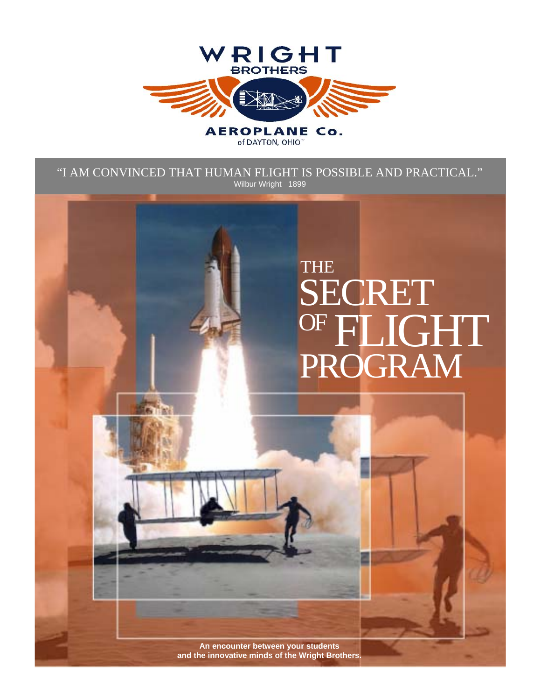

"I AM CONVINCED THAT HUMAN FLIGHT IS POSSIBLE AND PRACTICAL." Wilbur Wright 1899

# **LIGHT** SECRET THE OF PROGRAM

**An encounter between your students and the innovative minds of the Wright Brothers.**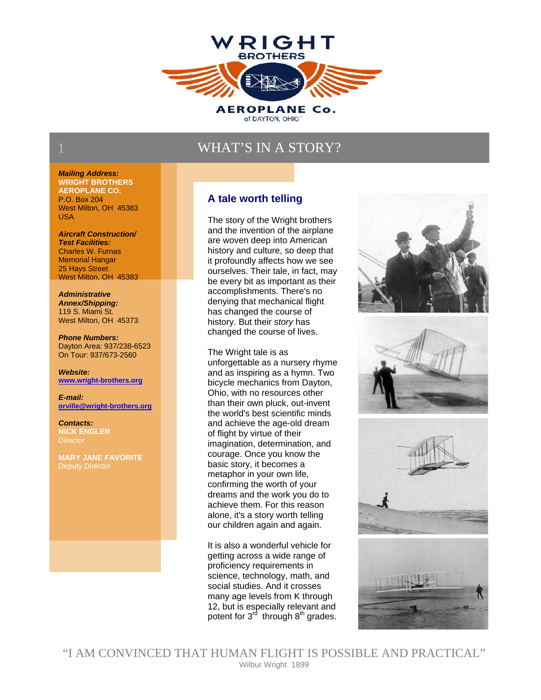

of DAYTON, OHIO

# WHAT'S IN A STORY?

*Mailing Address:*  **WRIGHT BROTHERS AEROPLANE CO.**  P.O. Box 204 West Milton, OH 45383 USA

*Aircraft Construction/ Test Facilities:* Charles W. Furnas Memorial Hangar 25 Hays Street West Milton, OH 45383

#### *Administrative Annex/Shipping:* 119 S. Miami St.

West Milton, OH 45373

*Phone Numbers:* Dayton Area: 937/238-6523 On Tour: 937/673-2560

*Website:* **<www.wright-brothers.org>**

*E-mail:*  **[orville@wright-brothers.org](mailto:orville@wright-brothers.org)**

*Contacts:*  **NICK ENGLER** 

**MARY JANE FAVORITE** 

### **A tale worth telling**

The story of the Wright brothers and the invention of the airplane are woven deep into American history and culture, so deep that it profoundly affects how we see ourselves. Their tale, in fact, may be every bit as important as their accomplishments. There's no denying that mechanical flight has changed the course of history. But their *story* has changed the course of lives.

The Wright tale is as unforgettable as a nursery rhyme and as inspiring as a hymn. Two bicycle mechanics from Dayton, Ohio, with no resources other than their own pluck, out-invent the world's best scientific minds and achieve the age-old dream of flight by virtue of their imagination, determination, and courage. Once you know the basic story, it becomes a metaphor in your own life, confirming the worth of your dreams and the work you do to achieve them. For this reason alone, it's a story worth telling our children again and again.

It is also a wonderful vehicle for getting across a wide range of proficiency requirements in science, technology, math, and social studies. And it crosses many age levels from K through 12, but is especially relevant and potent for 3<sup>rd</sup> through 8<sup>th</sup> grades.







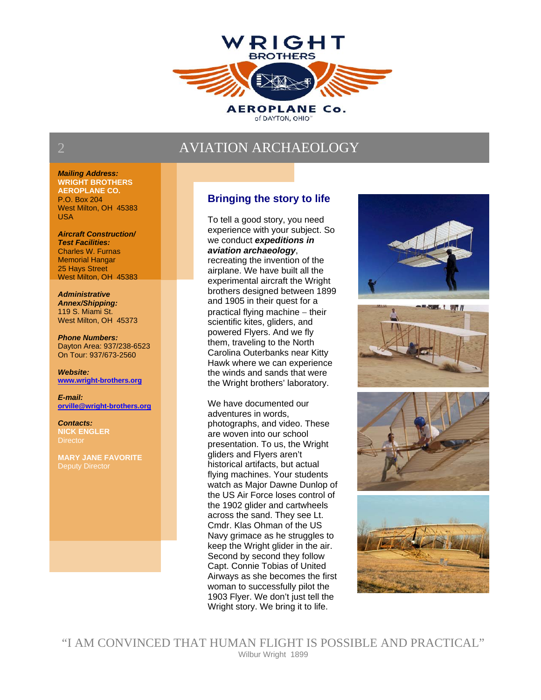

# 2 **AVIATION ARCHAEOLOGY**

*Mailing Address:*  **WRIGHT BROTHERS AEROPLANE CO.**  P.O. Box 204 West Milton, OH 45383 USA

*Aircraft Construction/ Test Facilities:* Charles W. Furnas Memorial Hangar 25 Hays Street West Milton, OH 45383

#### *Administrative Annex/Shipping:* 119 S. Miami St.

West Milton, OH 45373 *Phone Numbers:*

Dayton Area: 937/238-6523 On Tour: 937/673-2560

*Website:* **<www.wright-brothers.org>**

*E-mail:*  **[orville@wright-brothers.org](mailto:orville@wright-brothers.org)**

*Contacts:*  **NICK ENGLER Director** 

**MARY JANE FAVORITE**  Deputy Director

### **Bringing the story to life**

To tell a good story, you need experience with your subject. So we conduct *expeditions in aviation archaeology*, recreating the invention of the airplane. We have built all the experimental aircraft the Wright brothers designed between 1899 and 1905 in their quest for a practical flying machine  $-$  their scientific kites, gliders, and powered Flyers. And we fly them, traveling to the North Carolina Outerbanks near Kitty Hawk where we can experience the winds and sands that were the Wright brothers' laboratory.

We have documented our adventures in words, photographs, and video. These are woven into our school presentation. To us, the Wright gliders and Flyers aren't historical artifacts, but actual flying machines. Your students watch as Major Dawne Dunlop of the US Air Force loses control of the 1902 glider and cartwheels across the sand. They see Lt. Cmdr. Klas Ohman of the US Navy grimace as he struggles to keep the Wright glider in the air. Second by second they follow Capt. Connie Tobias of United Airways as she becomes the first woman to successfully pilot the 1903 Flyer. We don't just tell the Wright story. We bring it to life.







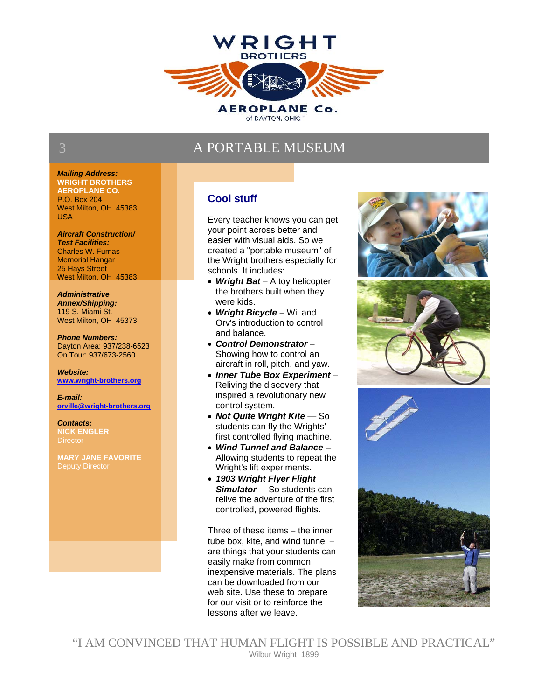

3 A PORTABLE MUSEUM

*Mailing Address:*  **WRIGHT BROTHERS AEROPLANE CO.**  P.O. Box 204 West Milton, OH 45383 USA

*Aircraft Construction/ Test Facilities:* Charles W. Furnas Memorial Hangar 25 Hays Street West Milton, OH 45383

### *Administrative*

*Annex/Shipping:* 119 S. Miami St. West Milton, OH 45373

*Phone Numbers:* Dayton Area: 937/238-6523 On Tour: 937/673-2560

*Website:* **<www.wright-brothers.org>**

*E-mail:*  **[orville@wright-brothers.org](mailto:orville@wright-brothers.org)**

*Contacts:*  **NICK ENGLER Director** 

**MARY JANE FAVORITE**  Deputy Director

### **Cool stuff**

Every teacher knows you can get your point across better and easier with visual aids. So we created a "portable museum" of the Wright brothers especially for schools. It includes:

- Wright Bat A toy helicopter the brothers built when they were kids.
- Wright Bicycle Wil and Orv's introduction to control and balance.
- *Control Demonstrator*  Showing how to control an aircraft in roll, pitch, and yaw.
- *Inner Tube Box Experiment* Reliving the discovery that inspired a revolutionary new control system.
- *Not Quite Wright Kite* So students can fly the Wrights' first controlled flying machine.
- *Wind Tunnel and Balance*  Allowing students to repeat the Wright's lift experiments.
- *1903 Wright Flyer Flight*  **Simulator** - So students can relive the adventure of the first controlled, powered flights.

Three of these items  $-$  the inner tube box, kite, and wind tunnel are things that your students can easily make from common, inexpensive materials. The plans can be downloaded from our web site. Use these to prepare for our visit or to reinforce the lessons after we leave.





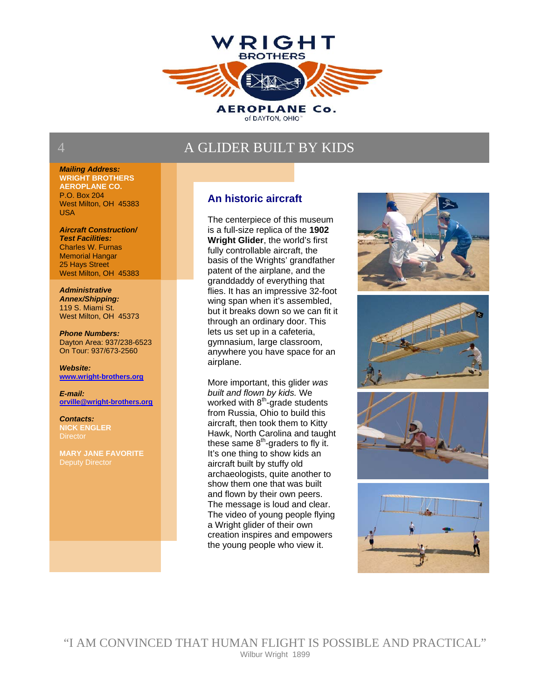

# 4 A GLIDER BUILT BY KIDS

*Mailing Address:*  **WRIGHT BROTHERS AEROPLANE CO.**  P.O. Box 204 West Milton, OH 45383 USA

*Aircraft Construction/ Test Facilities:* Charles W. Furnas Memorial Hangar 25 Hays Street West Milton, OH 45383

*Administrative Annex/Shipping:* 119 S. Miami St. West Milton, OH 45373

*Phone Numbers:* Dayton Area: 937/238-6523 On Tour: 937/673-2560

*Website:* **<www.wright-brothers.org>**

*E-mail:*  **[orville@wright-brothers.org](mailto:orville@wright-brothers.org)**

*Contacts:*  **NICK ENGLER Director** 

**MARY JANE FAVORITE** 

### **An historic aircraft**

The centerpiece of this museum is a full-size replica of the **1902 Wright Glider**, the world's first fully controllable aircraft, the basis of the Wrights' grandfather patent of the airplane, and the granddaddy of everything that flies. It has an impressive 32-foot wing span when it's assembled, but it breaks down so we can fit it through an ordinary door. This lets us set up in a cafeteria, gymnasium, large classroom, anywhere you have space for an airplane.

More important, this glider *was built and flown by kids.* We worked with  $8<sup>th</sup>$ -grade students from Russia, Ohio to build this aircraft, then took them to Kitty Hawk, North Carolina and taught these same  $8<sup>th</sup>$ -graders to fly it. It's one thing to show kids an aircraft built by stuffy old archaeologists, quite another to show them one that was built and flown by their own peers. The message is loud and clear. The video of young people flying a Wright glider of their own creation inspires and empowers the young people who view it.







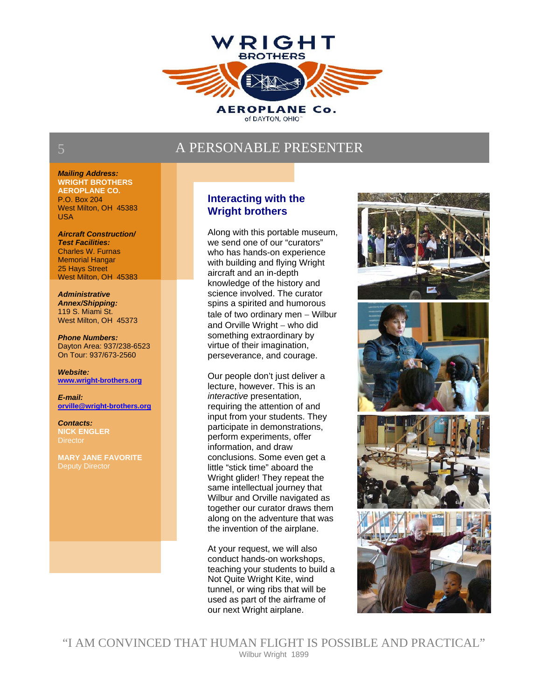

of DAYTON, OHIO<sup>®</sup>

# 5 A PERSONABLE PRESENTER

*Mailing Address:*  **WRIGHT BROTHERS AEROPLANE CO.**  P.O. Box 204 West Milton, OH 45383 USA

*Aircraft Construction/ Test Facilities:* Charles W. Furnas Memorial Hangar 25 Hays Street West Milton, OH 45383

#### *Administrative Annex/Shipping:* 119 S. Miami St. West Milton, OH 45373

*Phone Numbers:* Dayton Area: 937/238-6523 On Tour: 937/673-2560

*Website:* **<www.wright-brothers.org>**

*E-mail:*  **[orville@wright-brothers.org](mailto:orville@wright-brothers.org)**

*Contacts:*  **NICK ENGLER Director** 

**MARY JANE FAVORITE** 

### **Interacting with the Wright brothers**

Along with this portable museum, we send one of our "curators" who has hands-on experience with building and flying Wright aircraft and an in-depth knowledge of the history and science involved. The curator spins a spirited and humorous tale of two ordinary men  $-$  Wilbur and Orville Wright  $-$  who did something extraordinary by virtue of their imagination, perseverance, and courage.

Our people don't just deliver a lecture, however. This is an *interactive* presentation, requiring the attention of and input from your students. They participate in demonstrations, perform experiments, offer information, and draw conclusions. Some even get a little "stick time" aboard the Wright glider! They repeat the same intellectual journey that Wilbur and Orville navigated as together our curator draws them along on the adventure that was the invention of the airplane.

At your request, we will also conduct hands-on workshops, teaching your students to build a Not Quite Wright Kite, wind tunnel, or wing ribs that will be used as part of the airframe of our next Wright airplane.

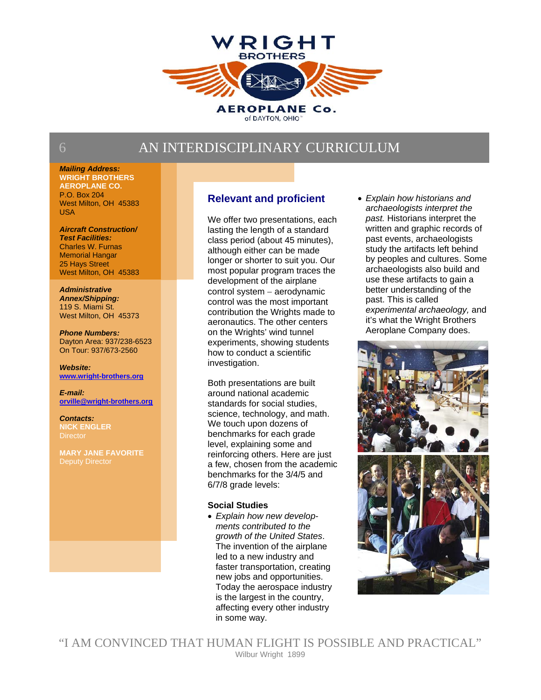

# 6 AN INTERDISCIPLINARY CURRICULUM

*Mailing Address:*  **WRIGHT BROTHERS AEROPLANE CO.**  P.O. Box 204 West Milton, OH 45383 USA

*Aircraft Construction/ Test Facilities:* Charles W. Furnas Memorial Hangar 25 Hays Street West Milton, OH 45383

*Administrative Annex/Shipping:* 119 S. Miami St. West Milton, OH 45373

*Phone Numbers:* Dayton Area: 937/238-6523 On Tour: 937/673-2560

*Website:* **<www.wright-brothers.org>**

*E-mail:*  **[orville@wright-brothers.org](mailto:orville@wright-brothers.org)**

*Contacts:*  **NICK ENGLER Director** 

**MARY JANE FAVORITE** 

### **Relevant and proficient**

We offer two presentations, each lasting the length of a standard class period (about 45 minutes), although either can be made longer or shorter to suit you. Our most popular program traces the development of the airplane  $control$  system  $-$  aerodynamic control was the most important contribution the Wrights made to aeronautics. The other centers on the Wrights' wind tunnel experiments, showing students how to conduct a scientific investigation.

Both presentations are built around national academic standards for social studies, science, technology, and math. We touch upon dozens of benchmarks for each grade level, explaining some and reinforcing others. Here are just a few, chosen from the academic benchmarks for the 3/4/5 and 6/7/8 grade levels:

#### **Social Studies**

 *Explain how new developments contributed to the growth of the United States*. The invention of the airplane led to a new industry and faster transportation, creating new jobs and opportunities. Today the aerospace industry is the largest in the country, affecting every other industry in some way.

 *Explain how historians and archaeologists interpret the past.* Historians interpret the written and graphic records of past events, archaeologists study the artifacts left behind by peoples and cultures. Some archaeologists also build and use these artifacts to gain a better understanding of the past. This is called *experimental archaeology,* and it's what the Wright Brothers Aeroplane Company does.

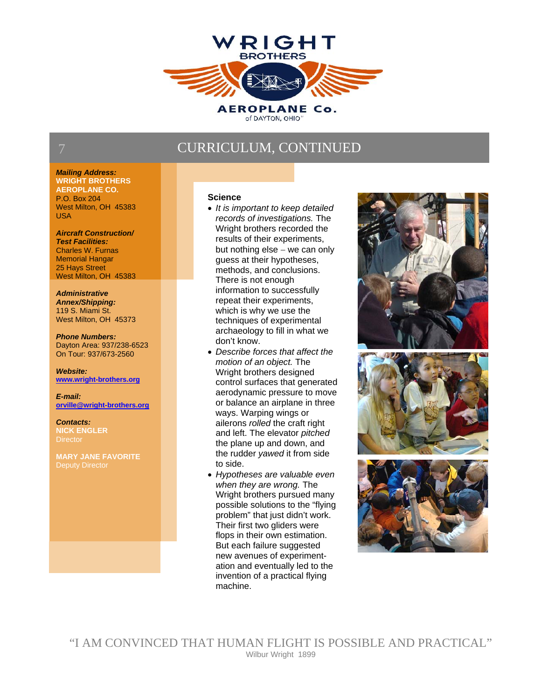

# 7 CURRICULUM, CONTINUED

*Mailing Address:*  **WRIGHT BROTHERS AEROPLANE CO.**  P.O. Box 204 West Milton, OH 45383 USA

*Aircraft Construction/ Test Facilities:* Charles W. Furnas Memorial Hangar 25 Hays Street West Milton, OH 45383

### *Administrative*

*Annex/Shipping:* 119 S. Miami St. West Milton, OH 45373

*Phone Numbers:* Dayton Area: 937/238-6523 On Tour: 937/673-2560

*Website:* **<www.wright-brothers.org>**

*E-mail:*  **[orville@wright-brothers.org](mailto:orville@wright-brothers.org)**

*Contacts:*  **NICK ENGLER Director** 

**MARY JANE FAVORITE**  Deputy Director

#### **Science**

- *It is important to keep detailed records of investigations.* The Wright brothers recorded the results of their experiments, but nothing  $else - we can only$ guess at their hypotheses, methods, and conclusions. There is not enough information to successfully repeat their experiments, which is why we use the techniques of experimental archaeology to fill in what we don't know.
- *Describe forces that affect the motion of an object.* The Wright brothers designed control surfaces that generated aerodynamic pressure to move or balance an airplane in three ways. Warping wings or ailerons *rolled* the craft right and left. The elevator *pitched*  the plane up and down, and the rudder *yawed* it from side to side.
- *Hypotheses are valuable even when they are wrong.* The Wright brothers pursued many possible solutions to the "flying problem" that just didn't work. Their first two gliders were flops in their own estimation. But each failure suggested new avenues of experimentation and eventually led to the invention of a practical flying machine.

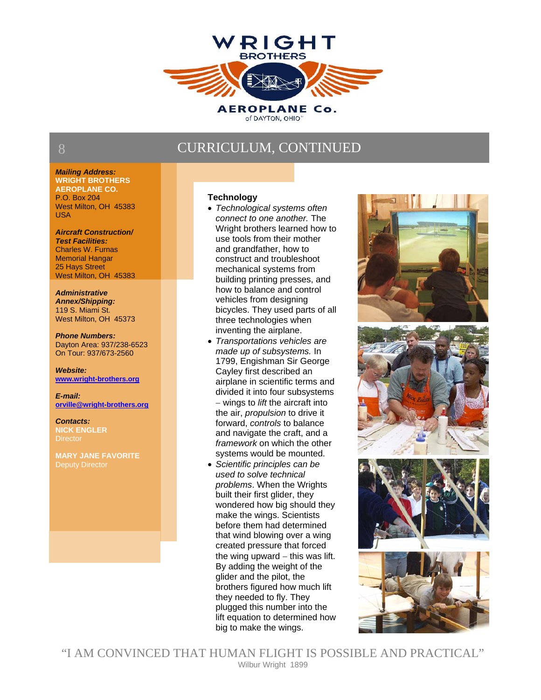

8 CURRICULUM, CONTINUED

*Mailing Address:*  **WRIGHT BROTHERS AEROPLANE CO.**  P.O. Box 204 West Milton, OH 45383 USA

*Aircraft Construction/ Test Facilities:* Charles W. Furnas Memorial Hangar 25 Hays Street West Milton, OH 45383

#### *Administrative Annex/Shipping:* 119 S. Miami St. West Milton, OH 45373

*Phone Numbers:* Dayton Area: 937/238-6523

On Tour: 937/673-2560

*[Website:](www.wright-brothers.org)* **www.wright-brothers.org**

*E-mail:*  **orville@wright-brothers.org**

*Contacts:*  **NICK ENGLER Director** 

**MARY JANE FAVORITE**  Deputy Director

#### **Technology**

- *Technological systems often connect to one another.* The Wright brothers learned how to use tools from their mother and grandfather, how to construct and troubleshoot mechanical systems from building printing presses, and how to balance and control vehicles from designing bicycles. They used parts of all three technologies when inventing the airplane.
- *Transportations vehicles are made up of subsystems.* In 1799, Engishman Sir George Cayley first described an airplane in scientific terms and divided it into four subsystems - wings to *lift* the aircraft into the air, *propulsion* to drive it forward, *controls* to balance and navigate the craft, and a *framework* on which the other systems would be mounted.
- *Scientific principles can be used to solve technical problems*. When the Wrights built their first glider, they wondered how big should they make the wings. Scientists before them had determined that wind blowing over a wing created pressure that forced the wing upward  $-$  this was lift. By adding the weight of the glider and the pilot, the brothers figured how much lift they needed to fly. They plugged this number into the lift equation to determined how big to make the wings.

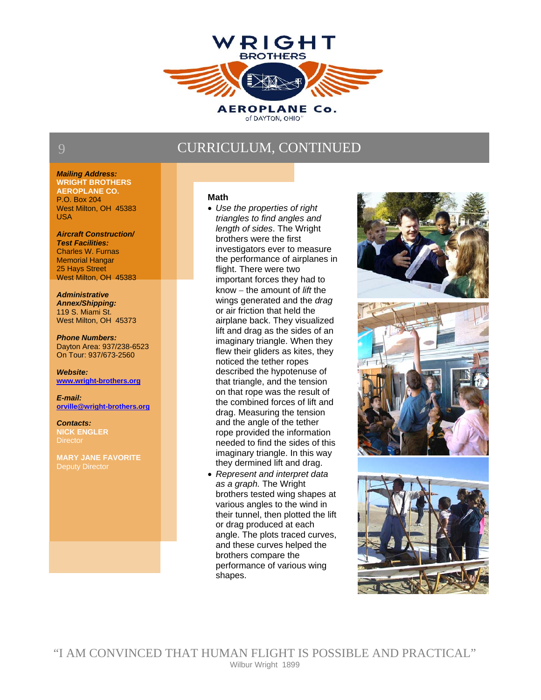

of DAYTON, OHIO

# 9 CURRICULUM, CONTINUED

#### **Math**

- *Use the properties of right triangles to find angles and length of sides*. The Wright brothers were the first investigators ever to measure the performance of airplanes in flight. There were two important forces they had to know – the amount of *lift* the wings generated and the *drag*  or air friction that held the airplane back. They visualized lift and drag as the sides of an imaginary triangle. When they flew their gliders as kites, they noticed the tether ropes described the hypotenuse of that triangle, and the tension on that rope was the result of the combined forces of lift and drag. Measuring the tension and the angle of the tether rope provided the information needed to find the sides of this imaginary triangle. In this way they dermined lift and drag.
- *Represent and interpret data as a graph.* The Wright brothers tested wing shapes at various angles to the wind in their tunnel, then plotted the lift or drag produced at each angle. The plots traced curves, and these curves helped the brothers compare the performance of various wing shapes.





"I AM CONVINCED THAT HUMAN FLIGHT IS POSSIBLE AND PRACTICAL" Wilbur Wright 1899

USA

*Mailing Address:*  **WRIGHT BROTHERS AEROPLANE CO.**  P.O. Box 204

West Milton, OH 45383

*Aircraft Construction/ Test Facilities:* Charles W. Furnas Memorial Hangar 25 Hays Street West Milton, OH 45383

*Administrative Annex/Shipping:* 119 S. Miami St. West Milton, OH 45373

*Phone Numbers:*

*Website:*

*E-mail:* 

*Contacts:*  **NICK ENGLER Director** 

Dayton Area: 937/238-6523 [O](www.wright-brothers.org)n Tour: 937/673-2560

**www.wright-brothers.org**

**orville@wright-brothers.org**

**MARY JANE FAVORITE**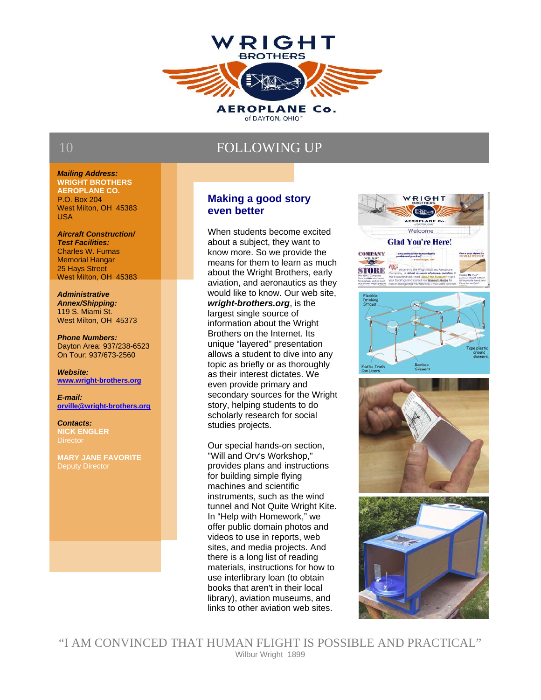

of DAYTON, OHIO

# 10 **FOLLOWING UP**

*Mailing Address:*  **WRIGHT BROTHERS AEROPLANE CO.**  P.O. Box 204 West Milton, OH 45383 USA

*Aircraft Construction/ Test Facilities:* Charles W. Furnas Memorial Hangar 25 Hays Street West Milton, OH 45383

#### *Administrative Annex/Shipping:* 119 S. Miami St. West Milton, OH 45373

*Phone Numbers:* Dayton Area: 937/238-6523 On Tour: 937/673-2560

*Website:* **<www.wright-brothers.org>**

*E-mail:*  **[orville@wright-brothers.org](mailto:orville@wright-brothers.org)**

*Contacts:*  **NICK ENGLER Director** 

**MARY JANE FAVORITE**  Deputy Director

### **Making a good story even better**

When students become excited about a subject, they want to know more. So we provide the means for them to learn as much about the Wright Brothers, early aviation, and aeronautics as they would like to know. Our web site, *wright-brothers.org*, is the largest single source of information about the Wright Brothers on the Internet. Its unique "layered" presentation allows a student to dive into any topic as briefly or as thoroughly as their interest dictates. We even provide primary and secondary sources for the Wright story, helping students to do scholarly research for social studies projects.

Our special hands-on section, "Will and Orv's Workshop," provides plans and instructions for building simple flying machines and scientific instruments, such as the wind tunnel and Not Quite Wright Kite. In "Help with Homework," we offer public domain photos and videos to use in reports, web sites, and media projects. And there is a long list of reading materials, instructions for how to use interlibrary loan (to obtain books that aren't in their local library), aviation museums, and links to other aviation web sites.







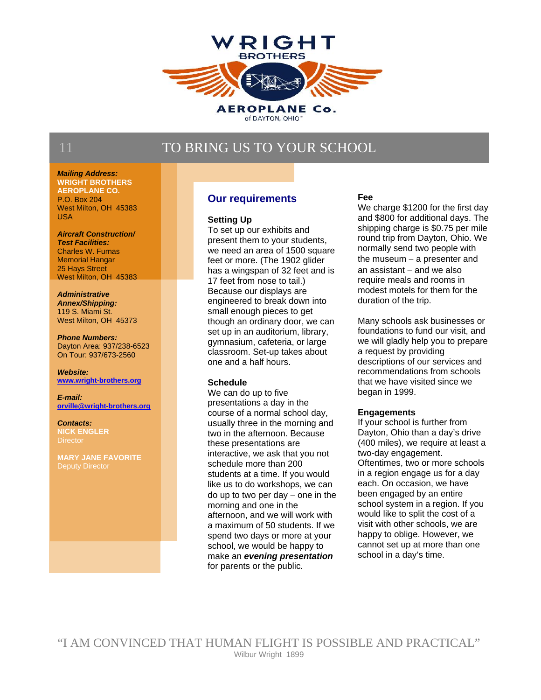

### 11 TO BRING US TO YOUR SCHOOL

*Mailing Address:*  **WRIGHT BROTHERS AEROPLANE CO.**  P.O. Box 204 West Milton, OH 45383 USA

*Aircraft Construction/ Test Facilities:* Charles W. Furnas Memorial Hangar 25 Hays Street West Milton, OH 45383

#### *Administrative*

*Annex/Shipping:* 119 S. Miami St. West Milton, OH 45373

*Phone Numbers:* Dayton Area: 937/238-6523 On Tour: 937/673-2560

*Website:* **<www.wright-brothers.org>**

*E-mail:*  **[orville@wright-brothers.org](mailto:orville@wright-brothers.org)**

*Contacts:*  **NICK ENGLER Director** 

**MARY JANE FAVORITE**  Deputy Director

#### **Our requirements**

#### **Setting Up**

To set up our exhibits and present them to your students, we need an area of 1500 square feet or more. (The 1902 glider has a wingspan of 32 feet and is 17 feet from nose to tail.) Because our displays are engineered to break down into small enough pieces to get though an ordinary door, we can set up in an auditorium, library, gymnasium, cafeteria, or large classroom. Set-up takes about one and a half hours.

#### **Schedule**

We can do up to five presentations a day in the course of a normal school day, usually three in the morning and two in the afternoon. Because these presentations are interactive, we ask that you not schedule more than 200 students at a time. If you would like us to do workshops, we can do up to two per day  $-$  one in the morning and one in the afternoon, and we will work with a maximum of 50 students. If we spend two days or more at your school, we would be happy to make an *evening presentation* for parents or the public.

#### **Fee**

We charge \$1200 for the first day and \$800 for additional days. The shipping charge is \$0.75 per mile round trip from Dayton, Ohio. We normally send two people with the museum  $-$  a presenter and an assistant  $-$  and we also require meals and rooms in modest motels for them for the duration of the trip.

Many schools ask businesses or foundations to fund our visit, and we will gladly help you to prepare a request by providing descriptions of our services and recommendations from schools that we have visited since we began in 1999.

#### **Engagements**

If your school is further from Dayton, Ohio than a day's drive (400 miles), we require at least a two-day engagement. Oftentimes, two or more schools in a region engage us for a day each. On occasion, we have been engaged by an entire school system in a region. If you would like to split the cost of a visit with other schools, we are happy to oblige. However, we cannot set up at more than one school in a day's time.